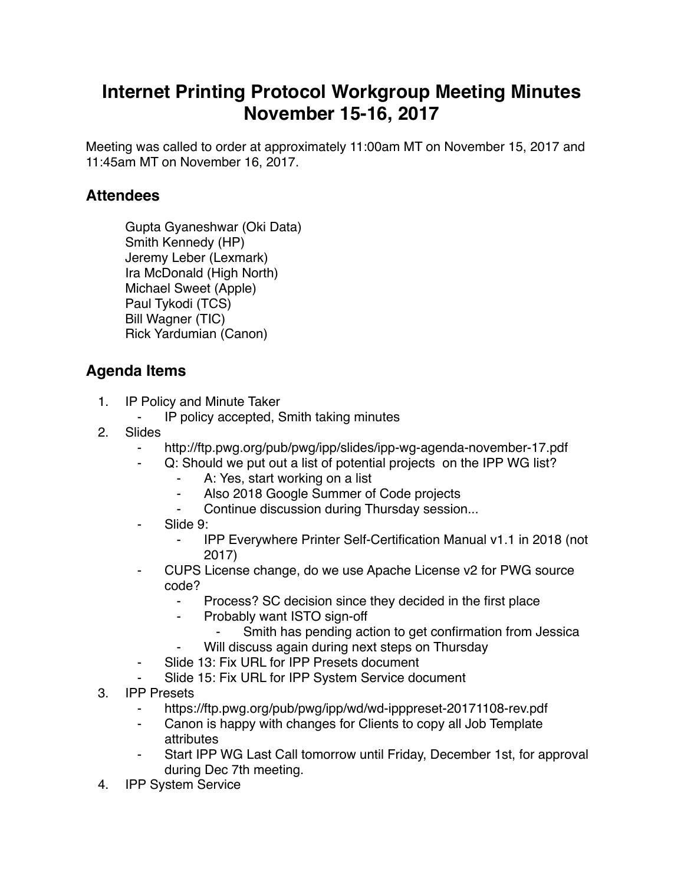## **Internet Printing Protocol Workgroup Meeting Minutes November 15-16, 2017**

Meeting was called to order at approximately 11:00am MT on November 15, 2017 and 11:45am MT on November 16, 2017.

## **Attendees**

Gupta Gyaneshwar (Oki Data) Smith Kennedy (HP) Jeremy Leber (Lexmark) Ira McDonald (High North) Michael Sweet (Apple) Paul Tykodi (TCS) Bill Wagner (TIC) Rick Yardumian (Canon)

## **Agenda Items**

- 1. IP Policy and Minute Taker
	- ⁃ IP policy accepted, Smith taking minutes
- 2. Slides
	- http://ftp.pwg.org/pub/pwg/ipp/slides/ipp-wg-agenda-november-17.pdf
	- Q: Should we put out a list of potential projects on the IPP WG list?
		- A: Yes, start working on a list
		- Also 2018 Google Summer of Code projects
		- Continue discussion during Thursday session...
	- Slide 9:
		- ⁃ IPP Everywhere Printer Self-Certification Manual v1.1 in 2018 (not 2017)
	- CUPS License change, do we use Apache License v2 for PWG source code?
		- Process? SC decision since they decided in the first place
		- ⁃ Probably want ISTO sign-off
			- ⁃ Smith has pending action to get confirmation from Jessica
			- Will discuss again during next steps on Thursday
	- ⁃ Slide 13: Fix URL for IPP Presets document
	- Slide 15: Fix URL for IPP System Service document
- 3. IPP Presets
	- https://ftp.pwg.org/pub/pwg/ipp/wd/wd-ipppreset-20171108-rev.pdf
	- Canon is happy with changes for Clients to copy all Job Template attributes
	- Start IPP WG Last Call tomorrow until Friday, December 1st, for approval during Dec 7th meeting.
- 4. IPP System Service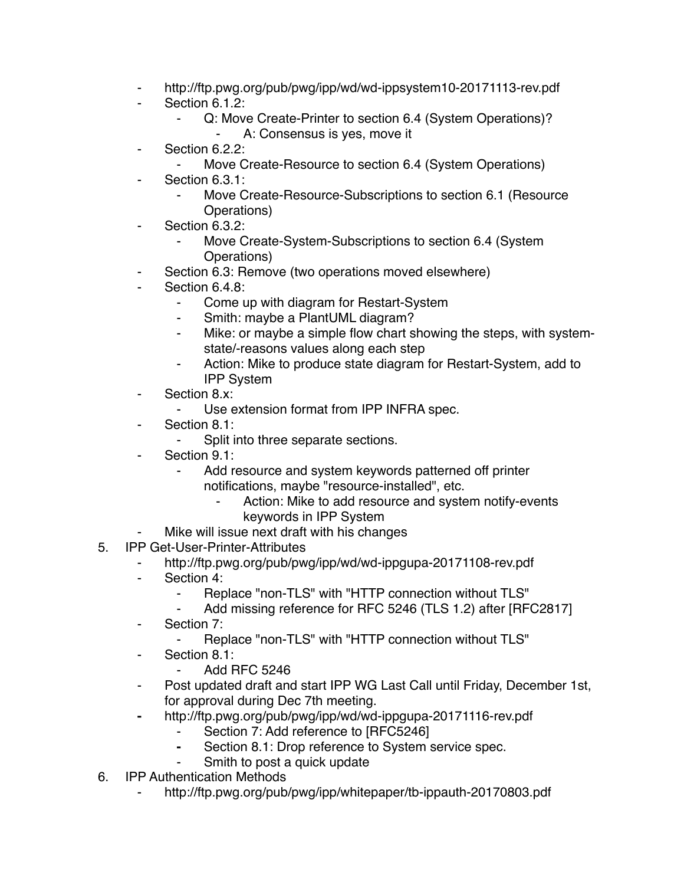- ⁃ http://ftp.pwg.org/pub/pwg/ipp/wd/wd-ippsystem10-20171113-rev.pdf
- Section 6.1.2:
	- Q: Move Create-Printer to section 6.4 (System Operations)? ⁃ A: Consensus is yes, move it
- ⁃ Section 6.2.2:
	- Move Create-Resource to section 6.4 (System Operations)
- Section 6.3.1:
	- Move Create-Resource-Subscriptions to section 6.1 (Resource Operations)
- ⁃ Section 6.3.2:
	- Move Create-System-Subscriptions to section 6.4 (System Operations)
- Section 6.3: Remove (two operations moved elsewhere)
- Section 6.4.8:
	- Come up with diagram for Restart-System
	- Smith: maybe a PlantUML diagram?
	- ⁃ Mike: or maybe a simple flow chart showing the steps, with systemstate/-reasons values along each step
	- ⁃ Action: Mike to produce state diagram for Restart-System, add to IPP System
- ⁃ Section 8.x:
	- ⁃ Use extension format from IPP INFRA spec.
- Section 8.1:
	- Split into three separate sections.
- ⁃ Section 9.1:
	- Add resource and system keywords patterned off printer notifications, maybe "resource-installed", etc.
		- Action: Mike to add resource and system notify-events keywords in IPP System
	- Mike will issue next draft with his changes
- 5. IPP Get-User-Printer-Attributes
	- ⁃ http://ftp.pwg.org/pub/pwg/ipp/wd/wd-ippgupa-20171108-rev.pdf
	- Section 4:
		- ⁃ Replace "non-TLS" with "HTTP connection without TLS"
		- Add missing reference for RFC 5246 (TLS 1.2) after [RFC2817]
	- ⁃ Section 7:
		- Replace "non-TLS" with "HTTP connection without TLS"
	- ⁃ Section 8.1:
		- ⁃ Add RFC 5246
	- ⁃ Post updated draft and start IPP WG Last Call until Friday, December 1st, for approval during Dec 7th meeting.
	- **⁃** http://ftp.pwg.org/pub/pwg/ipp/wd/wd-ippgupa-20171116-rev.pdf
		- Section 7: Add reference to [RFC5246]
			- **⁃** Section 8.1: Drop reference to System service spec.
			- Smith to post a quick update
- 6. IPP Authentication Methods
	- http://ftp.pwg.org/pub/pwg/ipp/whitepaper/tb-ippauth-20170803.pdf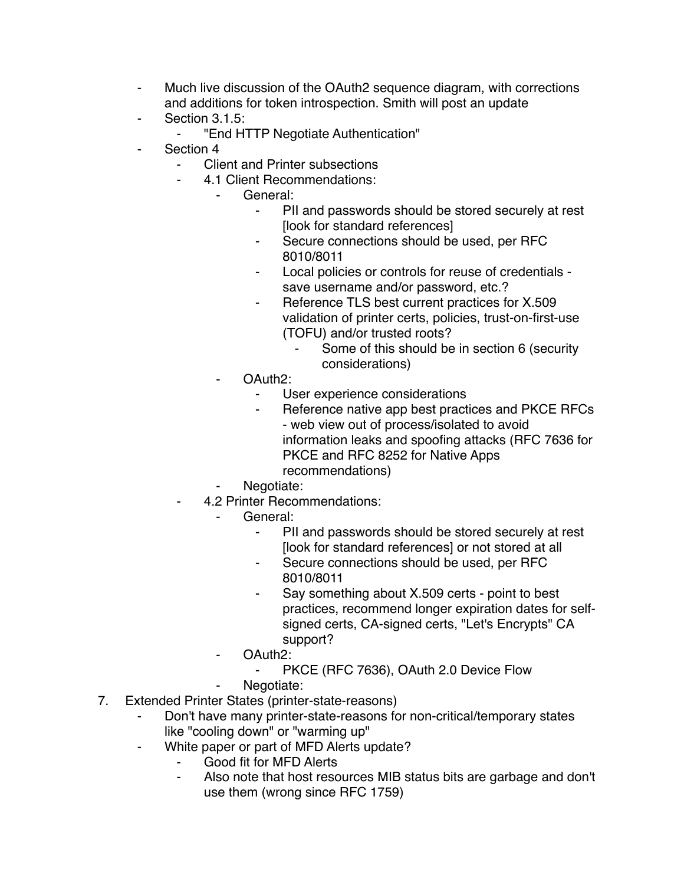- ⁃ Much live discussion of the OAuth2 sequence diagram, with corrections and additions for token introspection. Smith will post an update
- Section 3.1.5:
	- ⁃ "End HTTP Negotiate Authentication"
- Section 4
	- **Client and Printer subsections** 
		- ⁃ 4.1 Client Recommendations:
			- General:
				- PII and passwords should be stored securely at rest [look for standard references]
				- ⁃ Secure connections should be used, per RFC 8010/8011
				- Local policies or controls for reuse of credentials save username and/or password, etc.?
				- ⁃ Reference TLS best current practices for X.509 validation of printer certs, policies, trust-on-first-use (TOFU) and/or trusted roots?
					- Some of this should be in section 6 (security considerations)
				- OAuth<sub>2</sub>:
					- User experience considerations
					- Reference native app best practices and PKCE RFCs - web view out of process/isolated to avoid information leaks and spoofing attacks (RFC 7636 for PKCE and RFC 8252 for Native Apps recommendations)
				- Negotiate:
	- ⁃ 4.2 Printer Recommendations:
		- General:
			- PII and passwords should be stored securely at rest [look for standard references] or not stored at all
			- ⁃ Secure connections should be used, per RFC 8010/8011
			- Say something about X.509 certs point to best practices, recommend longer expiration dates for selfsigned certs, CA-signed certs, "Let's Encrypts" CA support?
		- OAuth<sub>2</sub>:
			- PKCE (RFC 7636), OAuth 2.0 Device Flow
		- Negotiate:
- 7. Extended Printer States (printer-state-reasons)
	- Don't have many printer-state-reasons for non-critical/temporary states like "cooling down" or "warming up"
	- White paper or part of MFD Alerts update?
		- Good fit for MFD Alerts
		- Also note that host resources MIB status bits are garbage and don't use them (wrong since RFC 1759)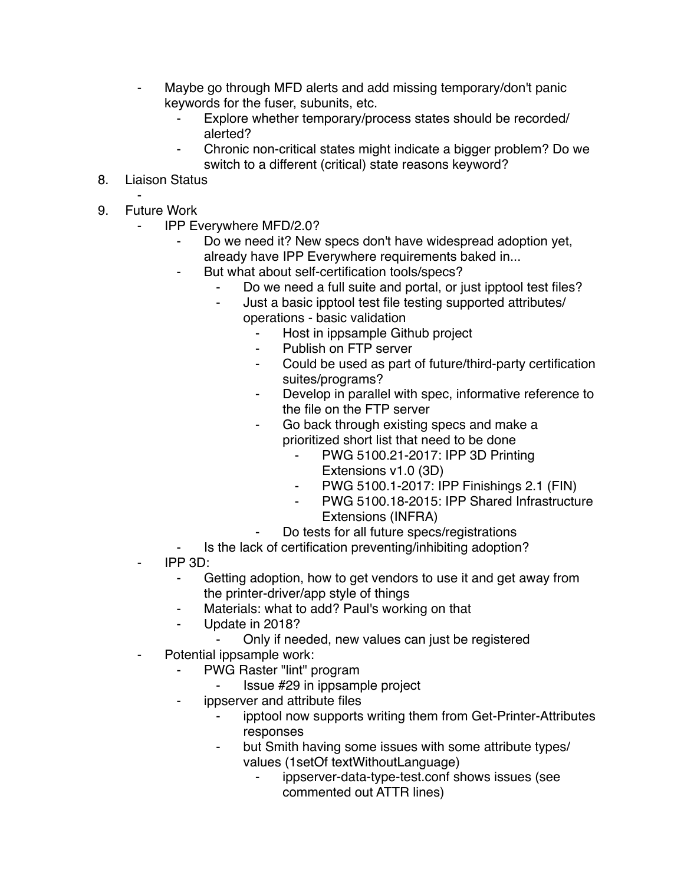- Maybe go through MFD alerts and add missing temporary/don't panic keywords for the fuser, subunits, etc.
	- Explore whether temporary/process states should be recorded/ alerted?
	- Chronic non-critical states might indicate a bigger problem? Do we switch to a different (critical) state reasons keyword?
- 8. Liaison Status
- ⁃ 9. Future Work
	- **IPP Everywhere MFD/2.0?** 
		- Do we need it? New specs don't have widespread adoption yet, already have IPP Everywhere requirements baked in...
		- But what about self-certification tools/specs?
			- Do we need a full suite and portal, or just ipptool test files?
			- ⁃ Just a basic ipptool test file testing supported attributes/ operations - basic validation
				- ⁃ Host in ippsample Github project
				- Publish on FTP server
				- Could be used as part of future/third-party certification suites/programs?
				- Develop in parallel with spec, informative reference to the file on the FTP server
				- Go back through existing specs and make a prioritized short list that need to be done
					- ⁃ PWG 5100.21-2017: IPP 3D Printing Extensions v1.0 (3D)
					- ⁃ PWG 5100.1-2017: IPP Finishings 2.1 (FIN)
					- PWG 5100.18-2015: IPP Shared Infrastructure Extensions (INFRA)
				- Do tests for all future specs/registrations
		- Is the lack of certification preventing/inhibiting adoption?
	- ⁃ IPP 3D:
		- Getting adoption, how to get vendors to use it and get away from the printer-driver/app style of things
		- Materials: what to add? Paul's working on that
		- Update in 2018?
			- Only if needed, new values can just be registered
	- Potential ippsample work:
		- PWG Raster "lint" program
			- ⁃ Issue #29 in ippsample project
		- ippserver and attribute files
			- ipptool now supports writing them from Get-Printer-Attributes responses
			- ⁃ but Smith having some issues with some attribute types/ values (1setOf textWithoutLanguage)
				- ippserver-data-type-test.conf shows issues (see commented out ATTR lines)